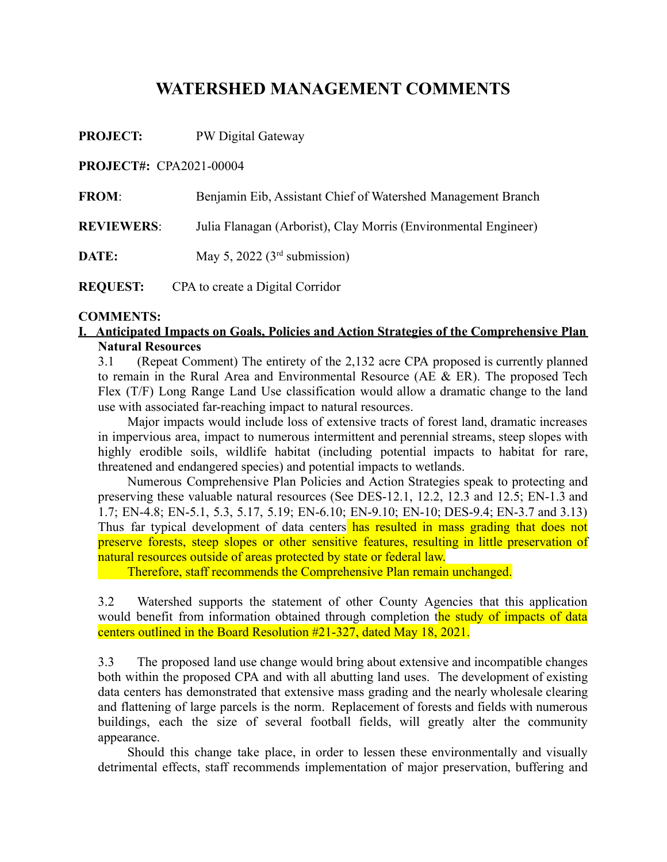# **WATERSHED MANAGEMENT COMMENTS**

**PROJECT:** PW Digital Gateway

**PROJECT#:** CPA2021-00004

| <b>FROM:</b>      | Benjamin Eib, Assistant Chief of Watershed Management Branch    |
|-------------------|-----------------------------------------------------------------|
| <b>REVIEWERS:</b> | Julia Flanagan (Arborist), Clay Morris (Environmental Engineer) |
| DATE:             | May 5, 2022 $(3rd$ submission)                                  |
| <b>REQUEST:</b>   | CPA to create a Digital Corridor                                |

#### **COMMENTS:**

### **I. Anticipated Impacts on Goals, Policies and Action Strategies of the Comprehensive Plan Natural Resources**

3.1 (Repeat Comment) The entirety of the 2,132 acre CPA proposed is currently planned to remain in the Rural Area and Environmental Resource (AE  $& ER$ ). The proposed Tech Flex (T/F) Long Range Land Use classification would allow a dramatic change to the land use with associated far-reaching impact to natural resources.

Major impacts would include loss of extensive tracts of forest land, dramatic increases in impervious area, impact to numerous intermittent and perennial streams, steep slopes with highly erodible soils, wildlife habitat (including potential impacts to habitat for rare, threatened and endangered species) and potential impacts to wetlands.

Numerous Comprehensive Plan Policies and Action Strategies speak to protecting and preserving these valuable natural resources (See DES-12.1, 12.2, 12.3 and 12.5; EN-1.3 and 1.7; EN-4.8; EN-5.1, 5.3, 5.17, 5.19; EN-6.10; EN-9.10; EN-10; DES-9.4; EN-3.7 and 3.13) Thus far typical development of data centers has resulted in mass grading that does not preserve forests, steep slopes or other sensitive features, resulting in little preservation of natural resources outside of areas protected by state or federal law.

Therefore, staff recommends the Comprehensive Plan remain unchanged.

3.2 Watershed supports the statement of other County Agencies that this application would benefit from information obtained through completion the study of impacts of data centers outlined in the Board Resolution #21-327, dated May 18, 2021.

3.3 The proposed land use change would bring about extensive and incompatible changes both within the proposed CPA and with all abutting land uses. The development of existing data centers has demonstrated that extensive mass grading and the nearly wholesale clearing and flattening of large parcels is the norm. Replacement of forests and fields with numerous buildings, each the size of several football fields, will greatly alter the community appearance.

Should this change take place, in order to lessen these environmentally and visually detrimental effects, staff recommends implementation of major preservation, buffering and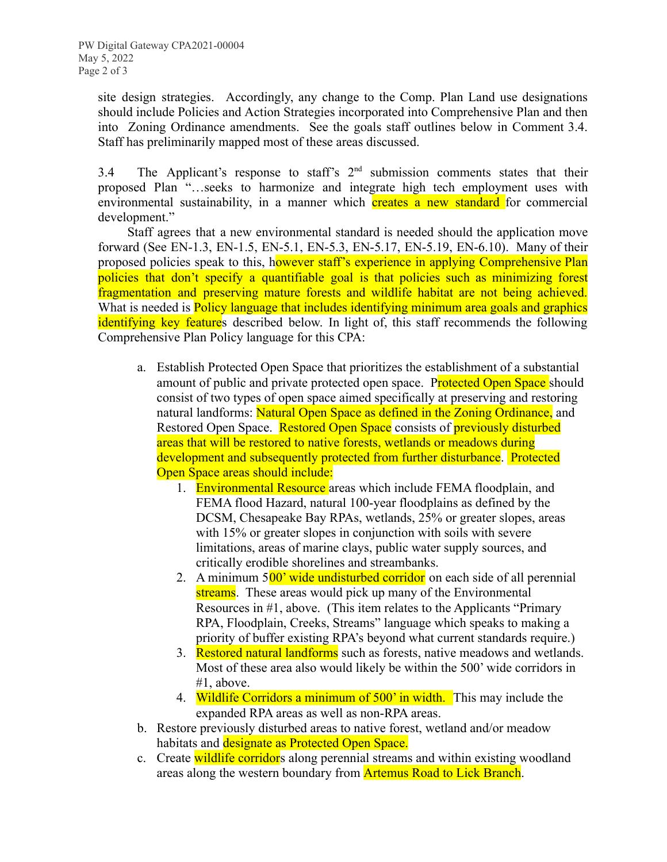site design strategies. Accordingly, any change to the Comp. Plan Land use designations should include Policies and Action Strategies incorporated into Comprehensive Plan and then into Zoning Ordinance amendments. See the goals staff outlines below in Comment 3.4. Staff has preliminarily mapped most of these areas discussed.

3.4 The Applicant's response to staff's  $2<sup>nd</sup>$  submission comments states that their proposed Plan "…seeks to harmonize and integrate high tech employment uses with environmental sustainability, in a manner which **creates a new standard** for commercial development."

Staff agrees that a new environmental standard is needed should the application move forward (See EN-1.3, EN-1.5, EN-5.1, EN-5.3, EN-5.17, EN-5.19, EN-6.10). Many of their proposed policies speak to this, however staff's experience in applying Comprehensive Plan policies that don't specify a quantifiable goal is that policies such as minimizing forest fragmentation and preserving mature forests and wildlife habitat are not being achieved. What is needed is **Policy language that includes identifying minimum area goals and graphics** identifying key features described below. In light of, this staff recommends the following Comprehensive Plan Policy language for this CPA:

- a. Establish Protected Open Space that prioritizes the establishment of a substantial amount of public and private protected open space. Protected Open Space should consist of two types of open space aimed specifically at preserving and restoring natural landforms: Natural Open Space as defined in the Zoning Ordinance, and Restored Open Space. Restored Open Space consists of previously disturbed areas that will be restored to native forests, wetlands or meadows during development and subsequently protected from further disturbance. Protected Open Space areas should include:
	- 1. Environmental Resource areas which include FEMA floodplain, and FEMA flood Hazard, natural 100-year floodplains as defined by the DCSM, Chesapeake Bay RPAs, wetlands, 25% or greater slopes, areas with 15% or greater slopes in conjunction with soils with severe limitations, areas of marine clays, public water supply sources, and critically erodible shorelines and streambanks.
	- 2. A minimum 500' wide undisturbed corridor on each side of all perennial streams. These areas would pick up many of the Environmental Resources in #1, above. (This item relates to the Applicants "Primary RPA, Floodplain, Creeks, Streams" language which speaks to making a priority of buffer existing RPA's beyond what current standards require.)
	- 3. Restored natural landforms such as forests, native meadows and wetlands. Most of these area also would likely be within the 500' wide corridors in #1, above.
	- 4. Wildlife Corridors a minimum of 500' in width. This may include the expanded RPA areas as well as non-RPA areas.
- b. Restore previously disturbed areas to native forest, wetland and/or meadow habitats and **designate as Protected Open Space**.
- c. Create wildlife corridors along perennial streams and within existing woodland areas along the western boundary from **Artemus Road to Lick Branch**.